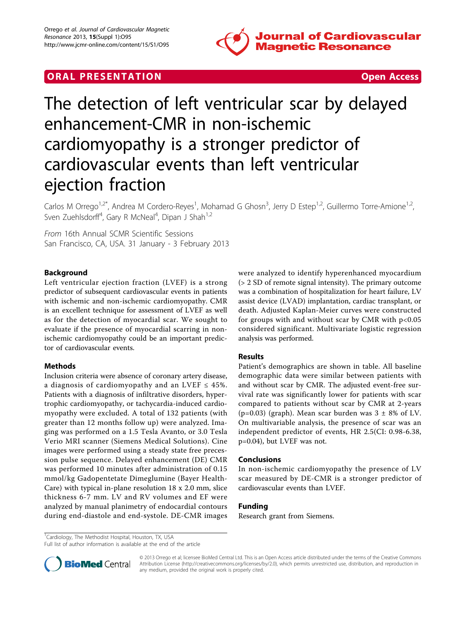

# **ORAL PRESENTATION CONSUMING ACCESS**



# The detection of left ventricular scar by delayed enhancement-CMR in non-ischemic cardiomyopathy is a stronger predictor of cardiovascular events than left ventricular ejection fraction

Carlos M Orrego<sup>1,2\*</sup>, Andrea M Cordero-Reyes<sup>1</sup>, Mohamad G Ghosn<sup>3</sup>, Jerry D Estep<sup>1,2</sup>, Guillermo Torre-Amione<sup>1,2</sup>, Sven Zuehlsdorff<sup>4</sup>, Gary R McNeal<sup>4</sup>, Dipan J Shah<sup>1,2</sup>

From 16th Annual SCMR Scientific Sessions San Francisco, CA, USA. 31 January - 3 February 2013

### Background

Left ventricular ejection fraction (LVEF) is a strong predictor of subsequent cardiovascular events in patients with ischemic and non-ischemic cardiomyopathy. CMR is an excellent technique for assessment of LVEF as well as for the detection of myocardial scar. We sought to evaluate if the presence of myocardial scarring in nonischemic cardiomyopathy could be an important predictor of cardiovascular events.

#### Methods

Inclusion criteria were absence of coronary artery disease, a diagnosis of cardiomyopathy and an LVEF  $\leq$  45%. Patients with a diagnosis of infiltrative disorders, hypertrophic cardiomyopathy, or tachycardia-induced cardiomyopathy were excluded. A total of 132 patients (with greater than 12 months follow up) were analyzed. Imaging was performed on a 1.5 Tesla Avanto, or 3.0 Tesla Verio MRI scanner (Siemens Medical Solutions). Cine images were performed using a steady state free precession pulse sequence. Delayed enhancement (DE) CMR was performed 10 minutes after administration of 0.15 mmol/kg Gadopentetate Dimeglumine (Bayer Health-Care) with typical in-plane resolution 18 x 2.0 mm, slice thickness 6-7 mm. LV and RV volumes and EF were analyzed by manual planimetry of endocardial contours during end-diastole and end-systole. DE-CMR images

were analyzed to identify hyperenhanced myocardium (> 2 SD of remote signal intensity). The primary outcome was a combination of hospitalization for heart failure, LV assist device (LVAD) implantation, cardiac transplant, or death. Adjusted Kaplan-Meier curves were constructed for groups with and without scar by CMR with  $p<0.05$ considered significant. Multivariate logistic regression analysis was performed.

#### Results

Patient's demographics are shown in table. All baseline demographic data were similar between patients with and without scar by CMR. The adjusted event-free survival rate was significantly lower for patients with scar compared to patients without scar by CMR at 2-years (p=0.03) (graph). Mean scar burden was  $3 \pm 8\%$  of LV. On multivariable analysis, the presence of scar was an independent predictor of events, HR 2.5(CI: 0.98-6.38, p=0.04), but LVEF was not.

#### Conclusions

In non-ischemic cardiomyopathy the presence of LV scar measured by DE-CMR is a stronger predictor of cardiovascular events than LVEF.

### Funding

Research grant from Siemens.

<sup>1</sup>Cardiology, The Methodist Hospital, Houston, TX, USA

Full list of author information is available at the end of the article



© 2013 Orrego et al; licensee BioMed Central Ltd. This is an Open Access article distributed under the terms of the Creative Commons Attribution License [\(http://creativecommons.org/licenses/by/2.0](http://creativecommons.org/licenses/by/2.0)), which permits unrestricted use, distribution, and reproduction in any medium, provided the original work is properly cited.